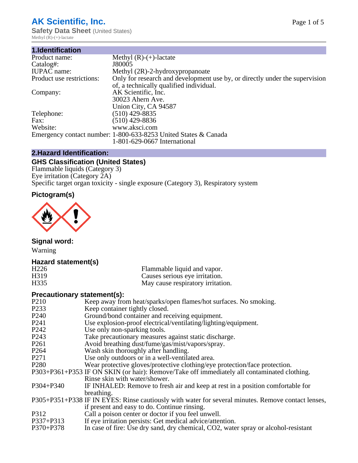## **AK Scientific, Inc.**

**Safety Data Sheet (United States)** Methyl  $(R)$ - $(+)$ -lactate

| Methyl $(R)-(+)$ -lactate                                                   |
|-----------------------------------------------------------------------------|
| J80005                                                                      |
| Methyl (2R)-2-hydroxypropanoate                                             |
| Only for research and development use by, or directly under the supervision |
| of, a technically qualified individual.                                     |
| AK Scientific, Inc.                                                         |
| 30023 Ahern Ave.                                                            |
| Union City, CA 94587                                                        |
| $(510)$ 429-8835                                                            |
| $(510)$ 429-8836                                                            |
| www.aksci.com                                                               |
| Emergency contact number: 1-800-633-8253 United States & Canada             |
| 1-801-629-0667 International                                                |
|                                                                             |

## **2.Hazard Identification:**

## **GHS Classification (United States)**

Flammable liquids (Category 3) Eye irritation (Category 2A) Specific target organ toxicity - single exposure (Category 3), Respiratory system

## **Pictogram(s)**



**Signal word:**

Warning

#### **Hazard statement(s)**

| H <sub>226</sub>  | Flammable liquid and vapor.       |
|-------------------|-----------------------------------|
| H <sub>3</sub> 19 | Causes serious eye irritation.    |
| H335              | May cause respiratory irritation. |

#### **Precautionary statement(s):**

| P <sub>210</sub>  | Keep away from heat/sparks/open flames/hot surfaces. No smoking.                                   |
|-------------------|----------------------------------------------------------------------------------------------------|
| P <sub>2</sub> 33 | Keep container tightly closed.                                                                     |
| P <sub>240</sub>  | Ground/bond container and receiving equipment.                                                     |
| P <sub>241</sub>  | Use explosion-proof electrical/ventilating/lighting/equipment.                                     |
| P <sub>242</sub>  | Use only non-sparking tools.                                                                       |
| P <sub>243</sub>  | Take precautionary measures against static discharge.                                              |
| P <sub>261</sub>  | Avoid breathing dust/fume/gas/mist/vapors/spray.                                                   |
| P <sub>264</sub>  | Wash skin thoroughly after handling.                                                               |
| P <sub>271</sub>  | Use only outdoors or in a well-ventilated area.                                                    |
| P <sub>280</sub>  | Wear protective gloves/protective clothing/eye protection/face protection.                         |
|                   | P303+P361+P353 IF ON SKIN (or hair): Remove/Take off immediately all contaminated clothing.        |
|                   | Rinse skin with water/shower.                                                                      |
| $P304 + P340$     | IF INHALED: Remove to fresh air and keep at rest in a position comfortable for                     |
|                   | breathing.                                                                                         |
|                   | P305+P351+P338 IF IN EYES: Rinse cautiously with water for several minutes. Remove contact lenses, |
|                   | if present and easy to do. Continue rinsing.                                                       |
| P312              | Call a poison center or doctor if you feel unwell.                                                 |
| P337+P313         | If eye irritation persists: Get medical advice/attention.                                          |
| P370+P378         | In case of fire: Use dry sand, dry chemical, CO2, water spray or alcohol-resistant                 |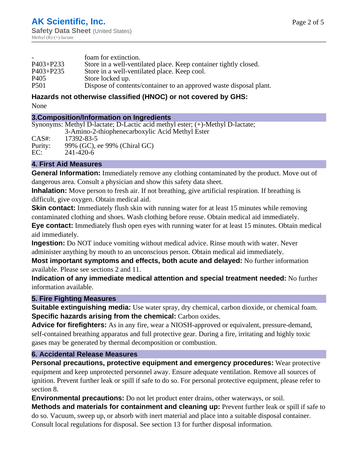|                  | foam for extinction.                                               |
|------------------|--------------------------------------------------------------------|
| $P403 + P233$    | Store in a well-ventilated place. Keep container tightly closed.   |
| $P403 + P235$    | Store in a well-ventilated place. Keep cool.                       |
| P <sub>405</sub> | Store locked up.                                                   |
| P <sub>501</sub> | Dispose of contents/container to an approved waste disposal plant. |

### **Hazards not otherwise classified (HNOC) or not covered by GHS:**

None

#### **3.Composition/Information on Ingredients**

Synonyms: Methyl D-lactate; D-Lactic acid methyl ester; (+)-Methyl D-lactate; 3-Amino-2-thiophenecarboxylic Acid Methyl Ester

CAS#: 17392-83-5 Purity: 99% (GC), ee 99% (Chiral GC) EC: 241-420-6

#### **4. First Aid Measures**

**General Information:** Immediately remove any clothing contaminated by the product. Move out of dangerous area. Consult a physician and show this safety data sheet.

**Inhalation:** Move person to fresh air. If not breathing, give artificial respiration. If breathing is difficult, give oxygen. Obtain medical aid.

**Skin contact:** Immediately flush skin with running water for at least 15 minutes while removing contaminated clothing and shoes. Wash clothing before reuse. Obtain medical aid immediately.

**Eye contact:** Immediately flush open eyes with running water for at least 15 minutes. Obtain medical aid immediately.

**Ingestion:** Do NOT induce vomiting without medical advice. Rinse mouth with water. Never administer anything by mouth to an unconscious person. Obtain medical aid immediately.

**Most important symptoms and effects, both acute and delayed:** No further information available. Please see sections 2 and 11.

**Indication of any immediate medical attention and special treatment needed:** No further information available.

#### **5. Fire Fighting Measures**

**Suitable extinguishing media:** Use water spray, dry chemical, carbon dioxide, or chemical foam. **Specific hazards arising from the chemical:** Carbon oxides.

**Advice for firefighters:** As in any fire, wear a NIOSH-approved or equivalent, pressure-demand, self-contained breathing apparatus and full protective gear. During a fire, irritating and highly toxic gases may be generated by thermal decomposition or combustion.

#### **6. Accidental Release Measures**

**Personal precautions, protective equipment and emergency procedures:** Wear protective equipment and keep unprotected personnel away. Ensure adequate ventilation. Remove all sources of ignition. Prevent further leak or spill if safe to do so. For personal protective equipment, please refer to section 8.

**Environmental precautions:** Do not let product enter drains, other waterways, or soil.

**Methods and materials for containment and cleaning up:** Prevent further leak or spill if safe to do so. Vacuum, sweep up, or absorb with inert material and place into a suitable disposal container. Consult local regulations for disposal. See section 13 for further disposal information.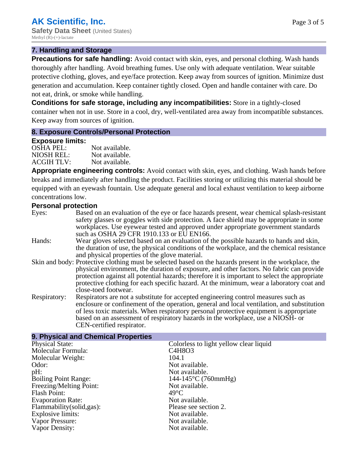#### **7. Handling and Storage**

**Precautions for safe handling:** Avoid contact with skin, eyes, and personal clothing. Wash hands thoroughly after handling. Avoid breathing fumes. Use only with adequate ventilation. Wear suitable protective clothing, gloves, and eye/face protection. Keep away from sources of ignition. Minimize dust generation and accumulation. Keep container tightly closed. Open and handle container with care. Do not eat, drink, or smoke while handling.

**Conditions for safe storage, including any incompatibilities:** Store in a tightly-closed container when not in use. Store in a cool, dry, well-ventilated area away from incompatible substances. Keep away from sources of ignition.

#### **8. Exposure Controls/Personal Protection**

#### **Exposure limits:**

| <b>OSHA PEL:</b>  | Not available. |
|-------------------|----------------|
| NIOSH REL:        | Not available. |
| <b>ACGIH TLV:</b> | Not available. |

**Appropriate engineering controls:** Avoid contact with skin, eyes, and clothing. Wash hands before breaks and immediately after handling the product. Facilities storing or utilizing this material should be equipped with an eyewash fountain. Use adequate general and local exhaust ventilation to keep airborne concentrations low.

#### **Personal protection**

| Eyes:        | Based on an evaluation of the eye or face hazards present, wear chemical splash-resistant<br>safety glasses or goggles with side protection. A face shield may be appropriate in some<br>workplaces. Use eyewear tested and approved under appropriate government standards<br>such as OSHA 29 CFR 1910.133 or EU EN166.                                                                                                |
|--------------|-------------------------------------------------------------------------------------------------------------------------------------------------------------------------------------------------------------------------------------------------------------------------------------------------------------------------------------------------------------------------------------------------------------------------|
| Hands:       | Wear gloves selected based on an evaluation of the possible hazards to hands and skin,<br>the duration of use, the physical conditions of the workplace, and the chemical resistance<br>and physical properties of the glove material.                                                                                                                                                                                  |
|              | Skin and body: Protective clothing must be selected based on the hazards present in the workplace, the<br>physical environment, the duration of exposure, and other factors. No fabric can provide<br>protection against all potential hazards; therefore it is important to select the appropriate<br>protective clothing for each specific hazard. At the minimum, wear a laboratory coat and<br>close-toed footwear. |
| Respiratory: | Respirators are not a substitute for accepted engineering control measures such as<br>enclosure or confinement of the operation, general and local ventilation, and substitution<br>of less toxic materials. When respiratory personal protective equipment is appropriate<br>based on an assessment of respiratory hazards in the workplace, use a NIOSH- or<br>CEN-certified respirator.                              |

## **9. Physical and Chemical Properties**

| Colorless to light yellow clear liquid       |
|----------------------------------------------|
| C <sub>4</sub> H <sub>8</sub> O <sub>3</sub> |
| 104.1                                        |
| Not available.                               |
| Not available.                               |
| $144-145$ °C (760mmHg)                       |
| Not available.                               |
| $49^{\circ}$ C                               |
| Not available.                               |
| Please see section 2.                        |
| Not available.                               |
| Not available.                               |
| Not available.                               |
|                                              |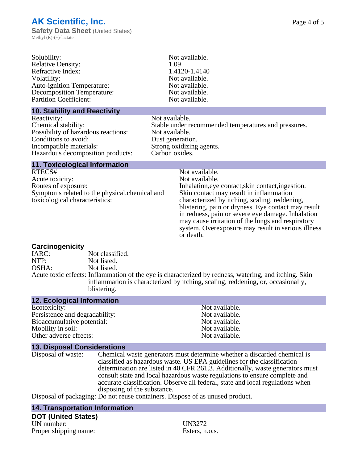| Solubility:                         | Not available. |  |
|-------------------------------------|----------------|--|
| <b>Relative Density:</b>            | 1.09           |  |
| Refractive Index:                   | 1.4120-1.4140  |  |
| Volatility:                         | Not available. |  |
| <b>Auto-ignition Temperature:</b>   | Not available. |  |
| <b>Decomposition Temperature:</b>   | Not available. |  |
| <b>Partition Coefficient:</b>       | Not available. |  |
| <b>10. Stability and Reactivity</b> |                |  |
| $D_{\alpha\alpha}$                  | Not ovojleble  |  |

Reactivity:<br>Chemical stability: Not available.<br>Stable under r Possibility of hazardous reactions: Not available. Conditions to avoid:<br>
Incompatible materials:<br>
Strong oxidizing Hazardous decomposition products:

Stable under recommended temperatures and pressures. Strong oxidizing agents.<br>Carbon oxides.

#### **11. Toxicological Information**

RTECS# Not available.<br>Acute toxicity: Not available.<br>Not available. Acute toxicity: Routes of exposure: Inhalation,eye contact,skin contact,ingestion. Symptoms related to the physical,chemical and toxicological characteristics:

Skin contact may result in inflammation characterized by itching, scaling, reddening, blistering, pain or dryness. Eye contact may result in redness, pain or severe eye damage. Inhalation may cause irritation of the lungs and respiratory system. Overexposure may result in serious illness or death.

# **Carcinogenicity**

IARC: Not classified.<br>
NOTP: Not listed. NTP:<br>
OSHA: Not listed.<br>
Not listed. Not listed. Acute toxic effects: Inflammation of the eye is characterized by redness, watering, and itching. Skin inflammation is characterized by itching, scaling, reddening, or, occasionally, blistering.

| <b>12. Ecological Information</b>  |                             |                                                                                                                                                                                                                                                                                                                                                                                                      |
|------------------------------------|-----------------------------|------------------------------------------------------------------------------------------------------------------------------------------------------------------------------------------------------------------------------------------------------------------------------------------------------------------------------------------------------------------------------------------------------|
| Ecotoxicity:                       |                             | Not available.                                                                                                                                                                                                                                                                                                                                                                                       |
| Persistence and degradability:     |                             | Not available.                                                                                                                                                                                                                                                                                                                                                                                       |
| Bioaccumulative potential:         |                             | Not available.                                                                                                                                                                                                                                                                                                                                                                                       |
| Mobility in soil:                  |                             | Not available.                                                                                                                                                                                                                                                                                                                                                                                       |
| Other adverse effects:             |                             | Not available.                                                                                                                                                                                                                                                                                                                                                                                       |
| <b>13. Disposal Considerations</b> |                             |                                                                                                                                                                                                                                                                                                                                                                                                      |
| Disposal of waste:                 | disposing of the substance. | Chemical waste generators must determine whether a discarded chemical is<br>classified as hazardous waste. US EPA guidelines for the classification<br>determination are listed in 40 CFR 261.3. Additionally, waste generators must<br>consult state and local hazardous waste regulations to ensure complete and<br>accurate classification. Observe all federal, state and local regulations when |

Disposal of packaging: Do not reuse containers. Dispose of as unused product.

## **14. Transportation Information DOT (United States)**

UN number: UN3272 Proper shipping name: Esters, n.o.s.